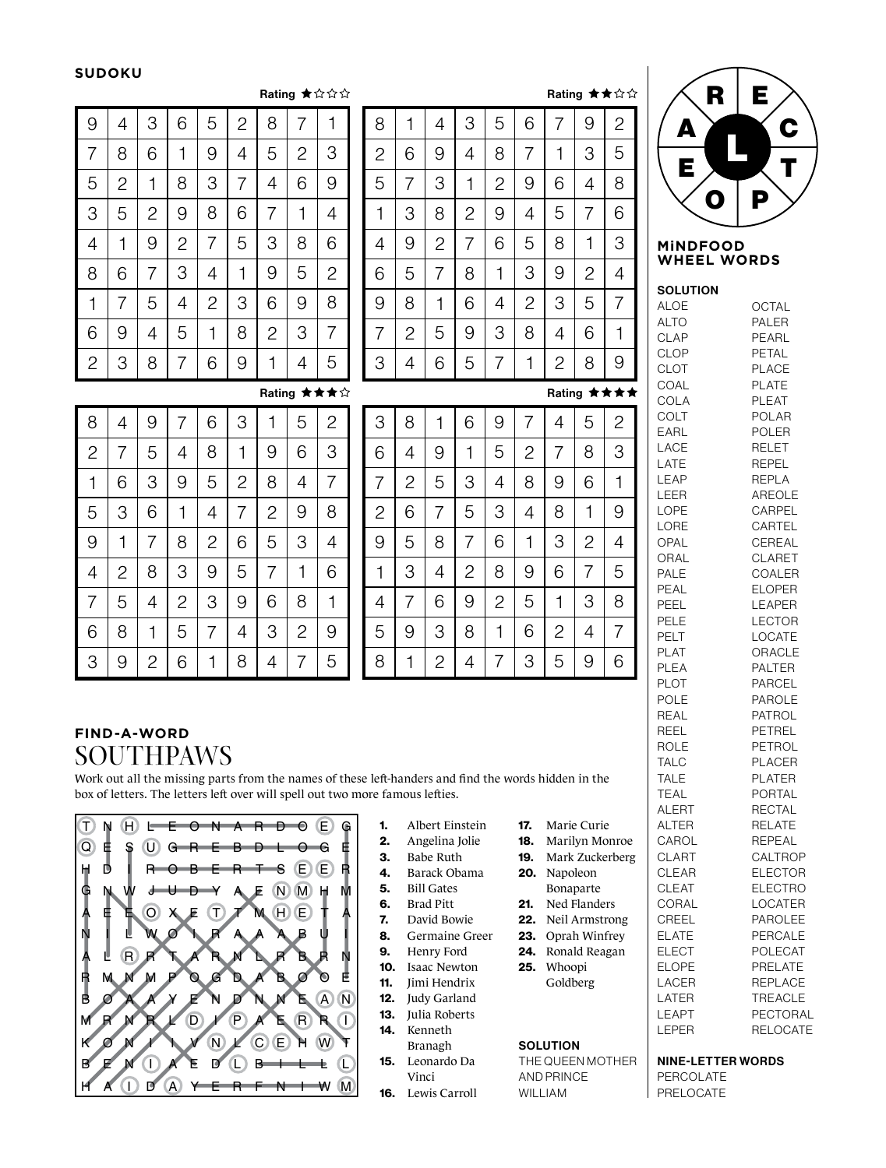#### **SUDOKU**

5

2

1

8

3

7

4

2

9

5

1

6

6

3

8

4

7

9

|   | R | Е |   |
|---|---|---|---|
| Δ |   |   | C |
| Е |   |   | L |
|   | Ω | P |   |

#### **MiNDFOOD WHEEL WORDS**

| <b>SOLUTION</b> |                 |
|-----------------|-----------------|
| <b>ALOE</b>     | OCTAL           |
| <b>ALTO</b>     | PALER           |
| <b>CLAP</b>     | PEARL           |
| <b>CLOP</b>     | PETAL           |
| CLOT            | <b>PLACE</b>    |
| COAL            | <b>PLATE</b>    |
| COLA            | <b>PLEAT</b>    |
| COLT            | POLAR           |
| EARL            | POLER           |
| LACE            | RELET           |
| LATE            | <b>REPEL</b>    |
| LEAP            | REPLA           |
| LEER            | AREOLE          |
| LOPE            | CARPEL          |
| LORE            | CARTEL          |
| OPAL            | CEREAL          |
| ORAL            | <b>CLARET</b>   |
| PALE            | COALER          |
| PEAL            | <b>ELOPER</b>   |
| PEEL            | LEAPER          |
| PELE            | <b>LECTOR</b>   |
|                 |                 |
| PELT            | LOCATE          |
| <b>PLAT</b>     | ORACLE          |
| PLEA            | PALTER          |
| <b>PLOT</b>     | PARCEL          |
| POLE            | <b>PAROLE</b>   |
| REAL            | PATROL          |
| REEL            | PETREL          |
| ROLE            | PETROL          |
| <b>TALC</b>     | <b>PLACER</b>   |
| <b>TALE</b>     | <b>PLATER</b>   |
| <b>TEAL</b>     | PORTAL          |
| <b>ALERT</b>    | <b>RECTAL</b>   |
| <b>ALTER</b>    | <b>RELATE</b>   |
| CAROL           | <b>REPEAL</b>   |
| <b>CLART</b>    | CALTROP         |
| <b>CLEAR</b>    | <b>ELECTOR</b>  |
| <b>CLEAT</b>    | <b>ELECTRO</b>  |
| CORAL           | LOCATER         |
| CREEL           | PAROLEE         |
| <b>ELATE</b>    | PERCALE         |
| <b>ELECT</b>    | <b>POLECAT</b>  |
| ELOPE           | PRELATE         |
| LACER           | <b>REPLACE</b>  |
| LATER           | <b>TREACLE</b>  |
| LEAPT           | PECTORAL        |
| LEPER           | <b>RELOCATE</b> |
|                 |                 |

|   |   | Rating ★☆☆☆ |   |   |   |   |   |   |   |   | Rating ★★☆☆        |
|---|---|-------------|---|---|---|---|---|---|---|---|--------------------|
| 8 | 7 | 1           | 8 | 1 | 4 | З | 5 | 6 | 7 | 9 | 2                  |
| 5 | 2 | 3           | 2 | 6 | 9 | 4 | 8 | 7 | 1 | 3 | 5                  |
| 4 | 6 | 9           | 5 | 7 | 3 | 1 | 2 | 9 | 6 | 4 | 8                  |
| 7 | 1 | 4           | 1 | 3 | 8 | 2 | 9 | 4 | 5 | 7 | 6                  |
| 3 | 8 | 6           | 4 | 9 | 2 | 7 | 6 | 5 | 8 | 1 | 3                  |
| 9 | 5 | 2           | 6 | 5 | 7 | 8 | 1 | 3 | 9 | 2 | 4                  |
| 6 | 9 | 8           | 9 | 8 | 1 | 6 | 4 | 2 | 3 | 5 | 7                  |
| 2 | 3 | 7           | 7 | 2 | 5 | 9 | 3 | 8 | 4 | 6 |                    |
| 1 | 4 | 5           | 3 | 4 | 6 | 5 | 7 | 1 | 2 | 8 | 9                  |
|   |   | Rating ★★★☆ |   |   |   |   |   |   |   |   | Rating <b>★★★★</b> |

| 4              | 1 | 7              | 6              | 8            | 9 | $\overline{c}$ | 5 | 3              |
|----------------|---|----------------|----------------|--------------|---|----------------|---|----------------|
| 6              | 8 | 3              | 5              | 7            | 2 | 9              | 1 | $\overline{4}$ |
| $\overline{c}$ | 5 | 9              | 1              | 4            | 3 | 7              | 6 | 8              |
| 8              | 9 | 6              | 3              | $\mathbf{2}$ | 4 | 5              | 7 | $\mathbf 1$    |
| 7              | 3 | $\overline{c}$ | 8              | 1            | 5 | 4              | 9 | 6              |
| 5              | 4 | 1              | 9              | 6            | 7 | 8              | 3 | $\overline{c}$ |
| Rating ★★★☆    |   |                |                |              |   |                |   |                |
| $\overline{c}$ | 5 | 1              | 3              | 6            | 7 | 9              | 4 | 8              |
| 3              | 6 | 9              | 1              | 8            | 4 | 5              | 7 | $\mathbf{2}$   |
|                | 4 | 8              | $\overline{c}$ | 5            | 9 | 3              | 6 | 1              |

| 3            | 8              | 1 | 6              | 9              | 7              | 4              | 5              | $\overline{2}$ |
|--------------|----------------|---|----------------|----------------|----------------|----------------|----------------|----------------|
| 6            | 4              | 9 | 1              | 5              | $\overline{2}$ | 7              | 8              | 3              |
| 7            | $\overline{c}$ | 5 | 3              | 4              | 8              | 9              | 6              | 1              |
| $\mathbf{2}$ | 6              | 7 | 5              | 3              | 4              | 8              | 1              | 9              |
| 9            | 5              | 8 | 7              | 6              | 1              | 3              | $\overline{c}$ | 4              |
| 1            | 3              | 4 | $\overline{c}$ | 8              | 9              | 6              | 7              | 5              |
| 4            | 7              | 6 | 9              | $\overline{c}$ | 5              | 1              | 3              | 8              |
| 5            | 9              | 3 | 8              | 1              | 6              | $\overline{c}$ | 4              | 7              |
| 8            |                | 2 | 4              | 7              | 3              | 5              | 9              | 6              |

### **FIND-A-WORD** SOUTHPAWS

2

6

1

8

4

7

5

9

1

6

4

8

2

8

1

3

9

3

6

7

5

2

4

9

5

6

7

7

3

9

2

4

5

2

3

8

1

1

4

8

7

6

3

9

8

5

2

1

3

6

7

4

9

5

Work out all the missing parts from the names of these left-handers and find the words hidden in the box of letters. The letters left over will spell out two more famous lefties.



| Albert Einstein |
|-----------------|

- 2. Angelina Jolie
- 3. Babe Ruth
- 4. Barack Obama
- 5. Bill Gates
- 6. Brad Pitt
- 7. David Bowie
- 8. Germaine Greer
- 9. Henry Ford
- 10. Isaac Newton
- 11. Jimi Hendrix
- 12. Judy Garland
- 13. Julia Roberts
- 14. Kenneth
- Branagh 15. Leonardo Da Vinci
	- 16. Lewis Carroll
- 18. Marilyn Monroe 19. Mark Zuckerberg 20. Napoleon
- Bonaparte 21. Ned Flanders

17. Marie Curie

- 22. Neil Armstrong
- 23. Oprah Winfrey
- 24. Ronald Reagan
- 25. Whoopi
- Goldberg
- 

#### **SOLUTION**

THE QUEEN MOTHER AND PRINCE WILLIAM

| <b>NINE-LETTER WORDS</b> |  |  |  |  |  |  |
|--------------------------|--|--|--|--|--|--|
| <b>DEDAAL 1TE</b>        |  |  |  |  |  |  |

PERCOLATE PRELOCATE

Rating

© Lovatts Puzzles